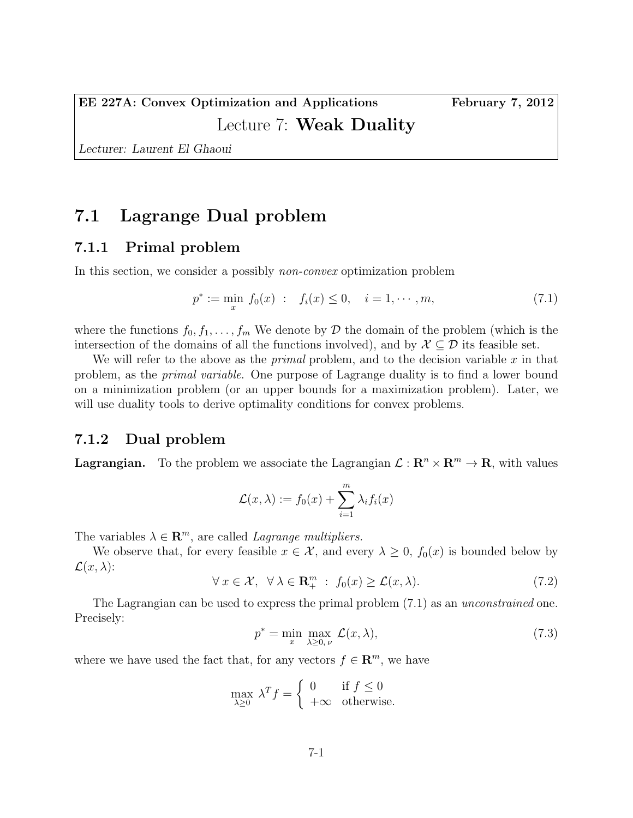Lecturer: Laurent El Ghaoui

## 7.1 Lagrange Dual problem

### 7.1.1 Primal problem

In this section, we consider a possibly *non-convex* optimization problem

$$
p^* := \min_x f_0(x) : f_i(x) \le 0, \quad i = 1, \cdots, m,
$$
\n(7.1)

where the functions  $f_0, f_1, \ldots, f_m$  We denote by  $\mathcal D$  the domain of the problem (which is the intersection of the domains of all the functions involved), and by  $\mathcal{X} \subseteq \mathcal{D}$  its feasible set.

We will refer to the above as the *primal* problem, and to the decision variable x in that problem, as the primal variable. One purpose of Lagrange duality is to find a lower bound on a minimization problem (or an upper bounds for a maximization problem). Later, we will use duality tools to derive optimality conditions for convex problems.

#### 7.1.2 Dual problem

**Lagrangian.** To the problem we associate the Lagrangian  $\mathcal{L}: \mathbb{R}^n \times \mathbb{R}^m \to \mathbb{R}$ , with values

$$
\mathcal{L}(x,\lambda) := f_0(x) + \sum_{i=1}^m \lambda_i f_i(x)
$$

The variables  $\lambda \in \mathbb{R}^m$ , are called *Lagrange multipliers*.

We observe that, for every feasible  $x \in \mathcal{X}$ , and every  $\lambda \geq 0$ ,  $f_0(x)$  is bounded below by  $\mathcal{L}(x,\lambda)$ :

$$
\forall x \in \mathcal{X}, \ \forall \lambda \in \mathbf{R}_+^m : f_0(x) \ge \mathcal{L}(x, \lambda). \tag{7.2}
$$

The Lagrangian can be used to express the primal problem  $(7.1)$  as an *unconstrained* one. Precisely:

$$
p^* = \min_{x} \max_{\lambda \ge 0, \nu} \mathcal{L}(x, \lambda), \tag{7.3}
$$

where we have used the fact that, for any vectors  $f \in \mathbb{R}^m$ , we have

$$
\max_{\lambda \ge 0} \lambda^T f = \begin{cases} 0 & \text{if } f \le 0\\ +\infty & \text{otherwise.} \end{cases}
$$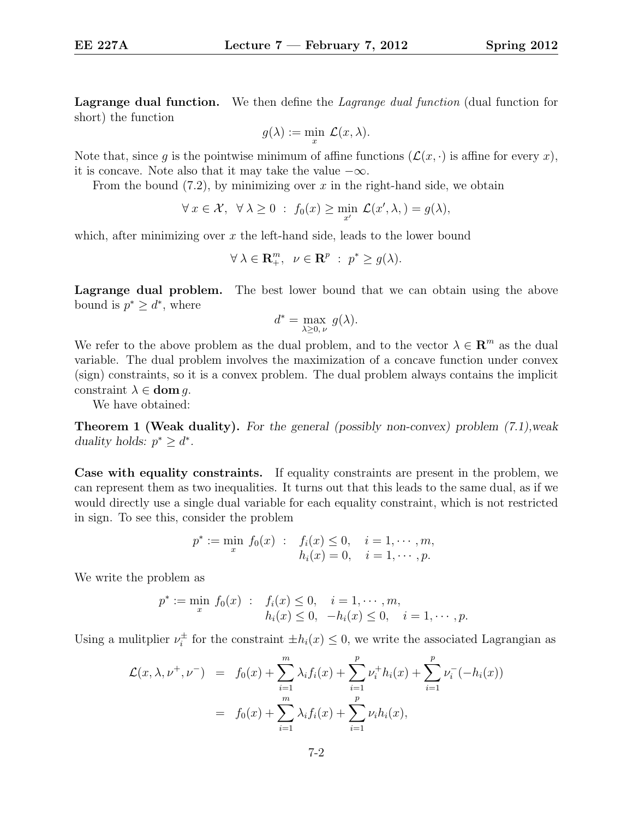Lagrange dual function. We then define the *Lagrange dual function* (dual function for short) the function

$$
g(\lambda) := \min_{x} \mathcal{L}(x, \lambda).
$$

Note that, since q is the pointwise minimum of affine functions  $(\mathcal{L}(x, \cdot))$  is affine for every x), it is concave. Note also that it may take the value  $-\infty$ .

From the bound  $(7.2)$ , by minimizing over x in the right-hand side, we obtain

$$
\forall x \in \mathcal{X}, \ \forall \lambda \geq 0 \ : \ f_0(x) \geq \min_{x'} \mathcal{L}(x', \lambda, ) = g(\lambda),
$$

which, after minimizing over  $x$  the left-hand side, leads to the lower bound

$$
\forall \lambda \in \mathbf{R}_{+}^{m}, \ \nu \in \mathbf{R}^{p} \ : \ p^* \geq g(\lambda).
$$

Lagrange dual problem. The best lower bound that we can obtain using the above bound is  $p^* \geq d^*$ , where

$$
d^* = \max_{\lambda \ge 0, \nu} g(\lambda).
$$

We refer to the above problem as the dual problem, and to the vector  $\lambda \in \mathbb{R}^m$  as the dual variable. The dual problem involves the maximization of a concave function under convex (sign) constraints, so it is a convex problem. The dual problem always contains the implicit constraint  $\lambda \in$  **dom** q.

We have obtained:

Theorem 1 (Weak duality). For the general (possibly non-convex) problem (7.1),weak duality holds:  $p^* \geq d^*$ .

Case with equality constraints. If equality constraints are present in the problem, we can represent them as two inequalities. It turns out that this leads to the same dual, as if we would directly use a single dual variable for each equality constraint, which is not restricted in sign. To see this, consider the problem

$$
p^* := \min_x f_0(x) : f_i(x) \le 0, \quad i = 1, \dots, m,
$$
  
\n $h_i(x) = 0, \quad i = 1, \dots, p.$ 

We write the problem as

$$
p^* := \min_x f_0(x) : f_i(x) \le 0, \quad i = 1, \dots, m, h_i(x) \le 0, \quad -h_i(x) \le 0, \quad i = 1, \dots, p.
$$

Using a mulitplier  $\nu_i^{\pm}$ <sup> $\pm$ </sup> for the constraint  $\pm h_i(x) \leq 0$ , we write the associated Lagrangian as

$$
\mathcal{L}(x,\lambda,\nu^+,\nu^-) = f_0(x) + \sum_{i=1}^m \lambda_i f_i(x) + \sum_{i=1}^p \nu_i^+ h_i(x) + \sum_{i=1}^p \nu_i^- (-h_i(x))
$$
  
=  $f_0(x) + \sum_{i=1}^m \lambda_i f_i(x) + \sum_{i=1}^p \nu_i h_i(x),$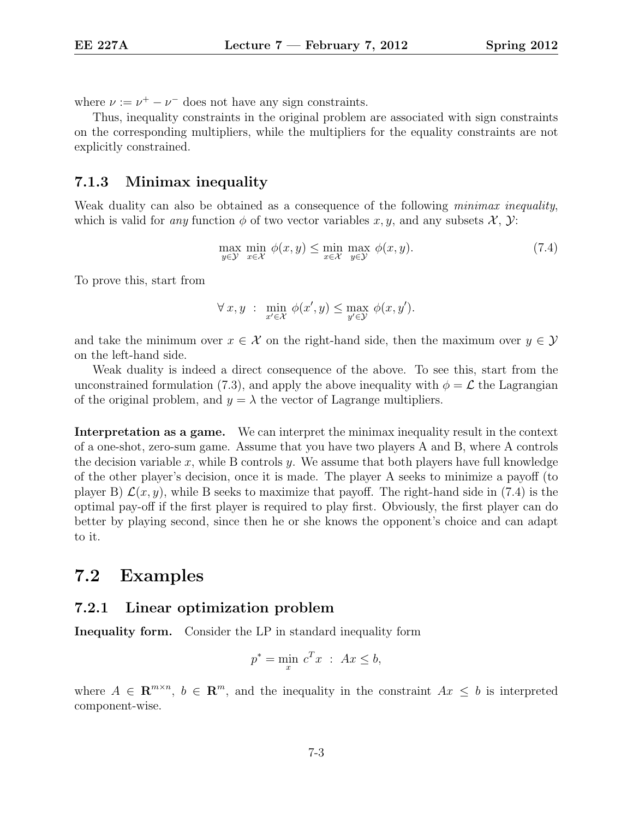where  $\nu := \nu^+ - \nu^-$  does not have any sign constraints.

Thus, inequality constraints in the original problem are associated with sign constraints on the corresponding multipliers, while the multipliers for the equality constraints are not explicitly constrained.

#### 7.1.3 Minimax inequality

Weak duality can also be obtained as a consequence of the following *minimax inequality*, which is valid for any function  $\phi$  of two vector variables x, y, and any subsets X, Y:

$$
\max_{y \in \mathcal{Y}} \min_{x \in \mathcal{X}} \phi(x, y) \le \min_{x \in \mathcal{X}} \max_{y \in \mathcal{Y}} \phi(x, y). \tag{7.4}
$$

To prove this, start from

$$
\forall x, y \; : \; \min_{x' \in \mathcal{X}} \phi(x', y) \le \max_{y' \in \mathcal{Y}} \phi(x, y').
$$

and take the minimum over  $x \in \mathcal{X}$  on the right-hand side, then the maximum over  $y \in \mathcal{Y}$ on the left-hand side.

Weak duality is indeed a direct consequence of the above. To see this, start from the unconstrained formulation (7.3), and apply the above inequality with  $\phi = \mathcal{L}$  the Lagrangian of the original problem, and  $y = \lambda$  the vector of Lagrange multipliers.

Interpretation as a game. We can interpret the minimax inequality result in the context of a one-shot, zero-sum game. Assume that you have two players A and B, where A controls the decision variable x, while B controls  $y$ . We assume that both players have full knowledge of the other player's decision, once it is made. The player A seeks to minimize a payoff (to player B)  $\mathcal{L}(x, y)$ , while B seeks to maximize that payoff. The right-hand side in (7.4) is the optimal pay-off if the first player is required to play first. Obviously, the first player can do better by playing second, since then he or she knows the opponent's choice and can adapt to it.

## 7.2 Examples

### 7.2.1 Linear optimization problem

Inequality form. Consider the LP in standard inequality form

$$
p^* = \min_x c^T x \; : \; Ax \leq b,
$$

where  $A \in \mathbb{R}^{m \times n}$ ,  $b \in \mathbb{R}^m$ , and the inequality in the constraint  $Ax \leq b$  is interpreted component-wise.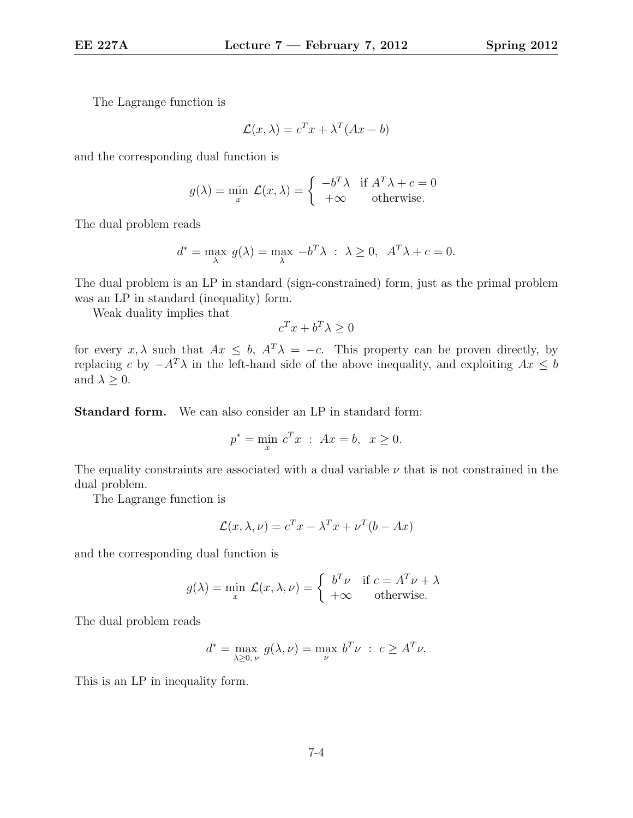The Lagrange function is

$$
\mathcal{L}(x,\lambda) = c^T x + \lambda^T (Ax - b)
$$

and the corresponding dual function is

$$
g(\lambda) = \min_{x} \mathcal{L}(x, \lambda) = \begin{cases} -b^T \lambda & \text{if } A^T \lambda + c = 0\\ +\infty & \text{otherwise.} \end{cases}
$$

The dual problem reads

$$
d^* = \max_{\lambda} g(\lambda) = \max_{\lambda} -b^T \lambda : \lambda \ge 0, \quad A^T \lambda + c = 0.
$$

The dual problem is an LP in standard (sign-constrained) form, just as the primal problem was an LP in standard (inequality) form.

Weak duality implies that

$$
c^T x + b^T \lambda \ge 0
$$

for every x,  $\lambda$  such that  $Ax \leq b$ ,  $A^T \lambda = -c$ . This property can be proven directly, by replacing c by  $-A^T\lambda$  in the left-hand side of the above inequality, and exploiting  $Ax \leq b$ and  $\lambda \geq 0$ .

Standard form. We can also consider an LP in standard form:

$$
p^* = \min_x c^T x
$$
 :  $Ax = b$ ,  $x \ge 0$ .

The equality constraints are associated with a dual variable  $\nu$  that is not constrained in the dual problem.

The Lagrange function is

$$
\mathcal{L}(x,\lambda,\nu) = c^T x - \lambda^T x + \nu^T (b - Ax)
$$

and the corresponding dual function is

$$
g(\lambda) = \min_{x} \mathcal{L}(x, \lambda, \nu) = \begin{cases} b^T \nu & \text{if } c = A^T \nu + \lambda \\ +\infty & \text{otherwise.} \end{cases}
$$

The dual problem reads

$$
d^* = \max_{\lambda \ge 0, \nu} g(\lambda, \nu) = \max_{\nu} b^T \nu : c \ge A^T \nu.
$$

This is an LP in inequality form.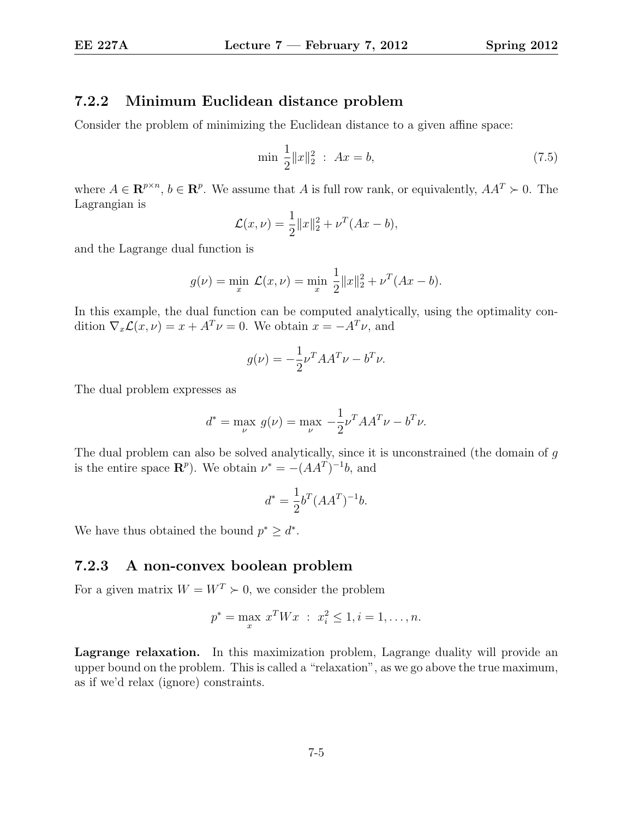### 7.2.2 Minimum Euclidean distance problem

Consider the problem of minimizing the Euclidean distance to a given affine space:

$$
\min \frac{1}{2} \|x\|_2^2 \,:\; Ax = b,\tag{7.5}
$$

where  $A \in \mathbb{R}^{p \times n}$ ,  $b \in \mathbb{R}^p$ . We assume that A is full row rank, or equivalently,  $AA^T \succ 0$ . The Lagrangian is

$$
\mathcal{L}(x,\nu) = \frac{1}{2} ||x||_2^2 + \nu^T (Ax - b),
$$

and the Lagrange dual function is

$$
g(\nu) = \min_{x} \mathcal{L}(x,\nu) = \min_{x} \frac{1}{2} ||x||_2^2 + \nu^T (Ax - b).
$$

In this example, the dual function can be computed analytically, using the optimality condition  $\nabla_x \mathcal{L}(x,\nu) = x + A^T \nu = 0$ . We obtain  $x = -A^T \nu$ , and

$$
g(\nu) = -\frac{1}{2}\nu^T A A^T \nu - b^T \nu.
$$

The dual problem expresses as

$$
d^* = \max_{\nu} g(\nu) = \max_{\nu} -\frac{1}{2} \nu^T A A^T \nu - b^T \nu.
$$

The dual problem can also be solved analytically, since it is unconstrained (the domain of g is the entire space  $\mathbb{R}^p$ ). We obtain  $\nu^* = -(AA^T)^{-1}b$ , and

$$
d^* = \frac{1}{2}b^T (AA^T)^{-1}b.
$$

We have thus obtained the bound  $p^* \geq d^*$ .

#### 7.2.3 A non-convex boolean problem

For a given matrix  $W = W^T \succ 0$ , we consider the problem

$$
p^* = \max_x x^T W x \; : \; x_i^2 \le 1, i = 1, \dots, n.
$$

Lagrange relaxation. In this maximization problem, Lagrange duality will provide an upper bound on the problem. This is called a "relaxation", as we go above the true maximum, as if we'd relax (ignore) constraints.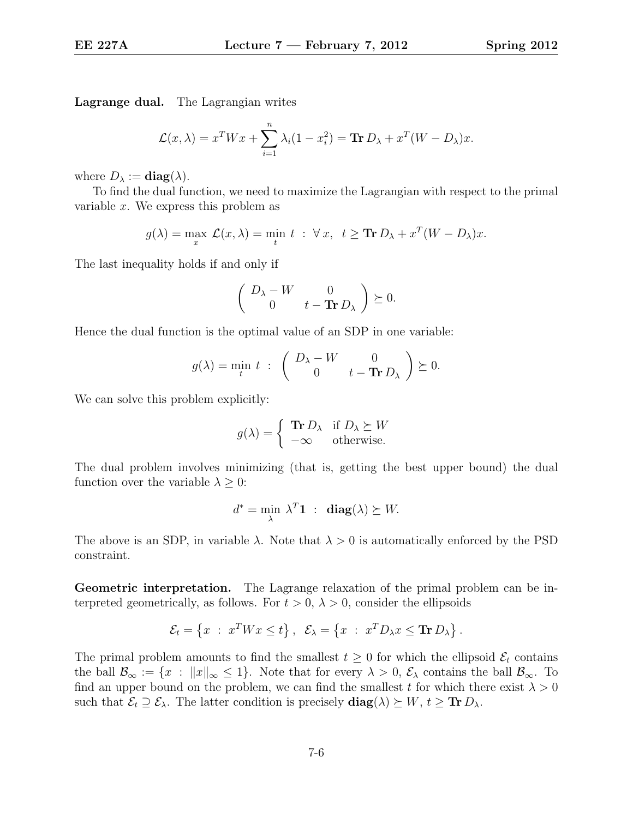Lagrange dual. The Lagrangian writes

$$
\mathcal{L}(x,\lambda) = x^T W x + \sum_{i=1}^n \lambda_i (1 - x_i^2) = \mathbf{Tr} \, D_\lambda + x^T (W - D_\lambda) x.
$$

where  $D_{\lambda} := \mathbf{diag}(\lambda)$ .

To find the dual function, we need to maximize the Lagrangian with respect to the primal variable  $x$ . We express this problem as

$$
g(\lambda) = \max_{x} \mathcal{L}(x, \lambda) = \min_{t} t : \forall x, t \geq \mathbf{Tr} \, D_{\lambda} + x^{T} (W - D_{\lambda}) x.
$$

The last inequality holds if and only if

$$
\left(\begin{array}{cc} D_{\lambda} - W & 0 \\ 0 & t - \text{Tr}\, D_{\lambda} \end{array}\right) \succeq 0.
$$

Hence the dual function is the optimal value of an SDP in one variable:

$$
g(\lambda) = \min_t t \; : \; \begin{pmatrix} D_\lambda - W & 0 \\ 0 & t - \text{Tr} D_\lambda \end{pmatrix} \succeq 0.
$$

We can solve this problem explicitly:

$$
g(\lambda) = \begin{cases} \text{Tr } D_{\lambda} & \text{if } D_{\lambda} \succeq W \\ -\infty & \text{otherwise.} \end{cases}
$$

The dual problem involves minimizing (that is, getting the best upper bound) the dual function over the variable  $\lambda \geq 0$ :

$$
d^* = \min_{\lambda} \lambda^T \mathbf{1} \; : \; \mathbf{diag}(\lambda) \succeq W.
$$

The above is an SDP, in variable  $\lambda$ . Note that  $\lambda > 0$  is automatically enforced by the PSD constraint.

Geometric interpretation. The Lagrange relaxation of the primal problem can be interpreted geometrically, as follows. For  $t > 0$ ,  $\lambda > 0$ , consider the ellipsoids

$$
\mathcal{E}_t = \left\{ x \; : \; x^T W x \le t \right\}, \; \; \mathcal{E}_\lambda = \left\{ x \; : \; x^T D_\lambda x \le \mathbf{Tr} \, D_\lambda \right\}.
$$

The primal problem amounts to find the smallest  $t \geq 0$  for which the ellipsoid  $\mathcal{E}_t$  contains the ball  $\mathcal{B}_{\infty} := \{x : ||x||_{\infty} \leq 1\}$ . Note that for every  $\lambda > 0$ ,  $\mathcal{E}_{\lambda}$  contains the ball  $\mathcal{B}_{\infty}$ . To find an upper bound on the problem, we can find the smallest t for which there exist  $\lambda > 0$ such that  $\mathcal{E}_t \supseteq \mathcal{E}_\lambda$ . The latter condition is precisely  $\text{diag}(\lambda) \succeq W, t \geq \text{Tr } D_\lambda$ .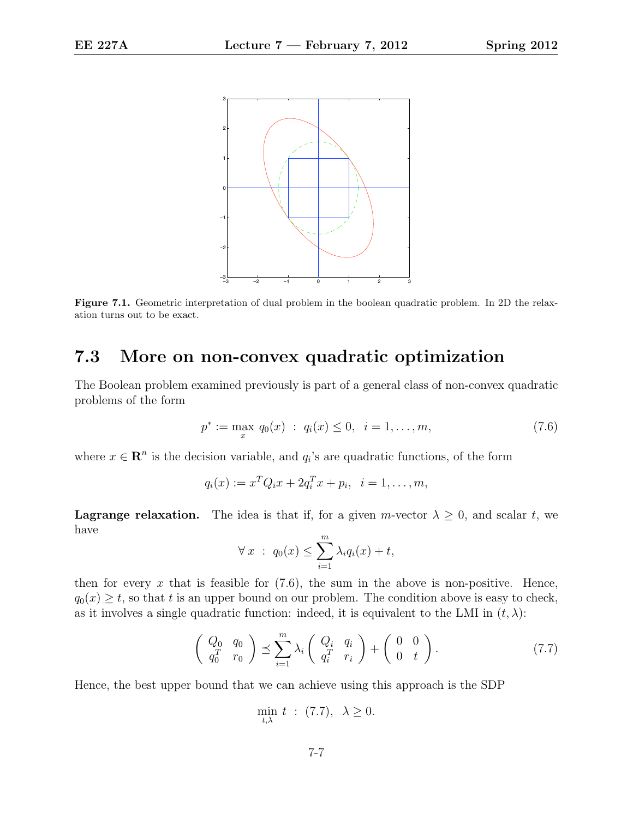

Figure 7.1. Geometric interpretation of dual problem in the boolean quadratic problem. In 2D the relaxation turns out to be exact.

# 7.3 More on non-convex quadratic optimization

The Boolean problem examined previously is part of a general class of non-convex quadratic problems of the form

$$
p^* := \max_x q_0(x) : q_i(x) \le 0, \quad i = 1, \dots, m,
$$
\n(7.6)

where  $x \in \mathbb{R}^n$  is the decision variable, and  $q_i$ 's are quadratic functions, of the form

$$
q_i(x) := x^T Q_i x + 2q_i^T x + p_i, \ \ i = 1, \dots, m,
$$

**Lagrange relaxation.** The idea is that if, for a given m-vector  $\lambda \geq 0$ , and scalar t, we have

$$
\forall x \; : \; q_0(x) \leq \sum_{i=1}^m \lambda_i q_i(x) + t,
$$

then for every  $x$  that is feasible for  $(7.6)$ , the sum in the above is non-positive. Hence,  $q_0(x) \geq t$ , so that t is an upper bound on our problem. The condition above is easy to check, as it involves a single quadratic function: indeed, it is equivalent to the LMI in  $(t, \lambda)$ :

$$
\left(\begin{array}{cc} Q_0 & q_0 \\ q_0^T & r_0 \end{array}\right) \preceq \sum_{i=1}^m \lambda_i \left(\begin{array}{cc} Q_i & q_i \\ q_i^T & r_i \end{array}\right) + \left(\begin{array}{cc} 0 & 0 \\ 0 & t \end{array}\right). \tag{7.7}
$$

Hence, the best upper bound that we can achieve using this approach is the SDP

$$
\min_{t,\lambda} t : (7.7), \lambda \ge 0.
$$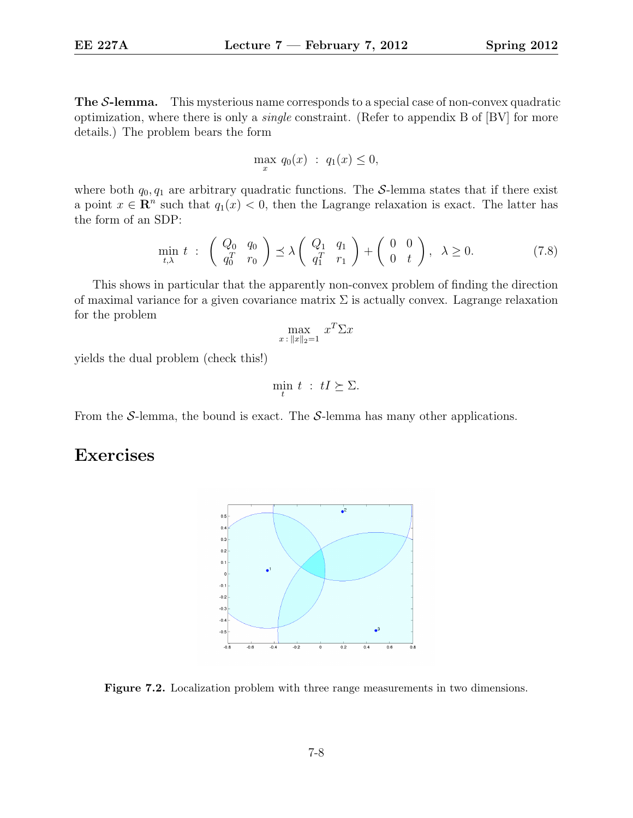**The S-lemma.** This mysterious name corresponds to a special case of non-convex quadratic optimization, where there is only a single constraint. (Refer to appendix B of [BV] for more details.) The problem bears the form

$$
\max_{x} q_0(x) : q_1(x) \leq 0,
$$

where both  $q_0, q_1$  are arbitrary quadratic functions. The S-lemma states that if there exist a point  $x \in \mathbb{R}^n$  such that  $q_1(x) < 0$ , then the Lagrange relaxation is exact. The latter has the form of an SDP:

$$
\min_{t,\lambda} t \; : \; \begin{pmatrix} Q_0 & q_0 \\ q_0^T & r_0 \end{pmatrix} \preceq \lambda \begin{pmatrix} Q_1 & q_1 \\ q_1^T & r_1 \end{pmatrix} + \begin{pmatrix} 0 & 0 \\ 0 & t \end{pmatrix}, \; \lambda \ge 0. \tag{7.8}
$$

This shows in particular that the apparently non-convex problem of finding the direction of maximal variance for a given covariance matrix  $\Sigma$  is actually convex. Lagrange relaxation for the problem

$$
\max_{x \,:\, \|x\|_2=1} x^T \Sigma x
$$

yields the dual problem (check this!)

$$
\min_t t : tI \succeq \Sigma.
$$

From the S-lemma, the bound is exact. The S-lemma has many other applications.

## Exercises



Figure 7.2. Localization problem with three range measurements in two dimensions.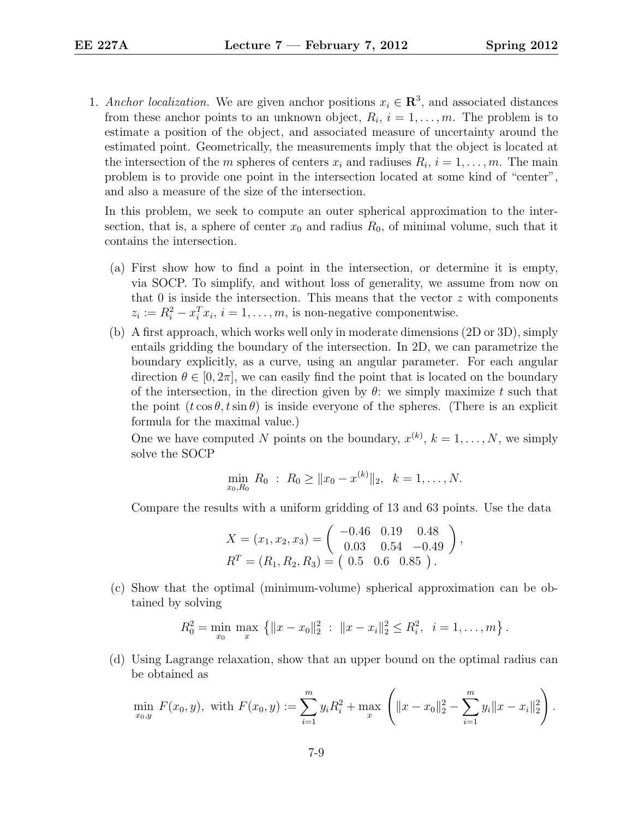1. Anchor localization. We are given anchor positions  $x_i \in \mathbb{R}^3$ , and associated distances from these anchor points to an unknown object,  $R_i$ ,  $i = 1, \ldots, m$ . The problem is to estimate a position of the object, and associated measure of uncertainty around the estimated point. Geometrically, the measurements imply that the object is located at the intersection of the m spheres of centers  $x_i$  and radiuses  $R_i$ ,  $i = 1, \ldots, m$ . The main problem is to provide one point in the intersection located at some kind of "center", and also a measure of the size of the intersection.

In this problem, we seek to compute an outer spherical approximation to the intersection, that is, a sphere of center  $x_0$  and radius  $R_0$ , of minimal volume, such that it contains the intersection.

- (a) First show how to find a point in the intersection, or determine it is empty, via SOCP. To simplify, and without loss of generality, we assume from now on that 0 is inside the intersection. This means that the vector  $z$  with components  $z_i := R_i^2 - x_i^T x_i, i = 1, \ldots, m$ , is non-negative componentwise.
- (b) A first approach, which works well only in moderate dimensions (2D or 3D), simply entails gridding the boundary of the intersection. In 2D, we can parametrize the boundary explicitly, as a curve, using an angular parameter. For each angular direction  $\theta \in [0, 2\pi]$ , we can easily find the point that is located on the boundary of the intersection, in the direction given by  $\theta$ : we simply maximize t such that the point  $(t \cos \theta, t \sin \theta)$  is inside everyone of the spheres. (There is an explicit formula for the maximal value.)

One we have computed N points on the boundary,  $x^{(k)}$ ,  $k = 1, ..., N$ , we simply solve the SOCP

$$
\min_{x_0, R_0} R_0 : R_0 \ge ||x_0 - x^{(k)}||_2, \quad k = 1, \dots, N.
$$

Compare the results with a uniform gridding of 13 and 63 points. Use the data

$$
X = (x_1, x_2, x_3) = \begin{pmatrix} -0.46 & 0.19 & 0.48 \\ 0.03 & 0.54 & -0.49 \end{pmatrix},
$$
  

$$
R^T = (R_1, R_2, R_3) = \begin{pmatrix} 0.5 & 0.6 & 0.85 \end{pmatrix}.
$$

(c) Show that the optimal (minimum-volume) spherical approximation can be obtained by solving

$$
R_0^2 = \min_{x_0} \max_x \left\{ ||x - x_0||_2^2 : ||x - x_i||_2^2 \le R_i^2, \ i = 1, ..., m \right\}.
$$

(d) Using Lagrange relaxation, show that an upper bound on the optimal radius can be obtained as

$$
\min_{x_0, y} F(x_0, y), \text{ with } F(x_0, y) := \sum_{i=1}^m y_i R_i^2 + \max_x \left( \|x - x_0\|_2^2 - \sum_{i=1}^m y_i \|x - x_i\|_2^2 \right).
$$